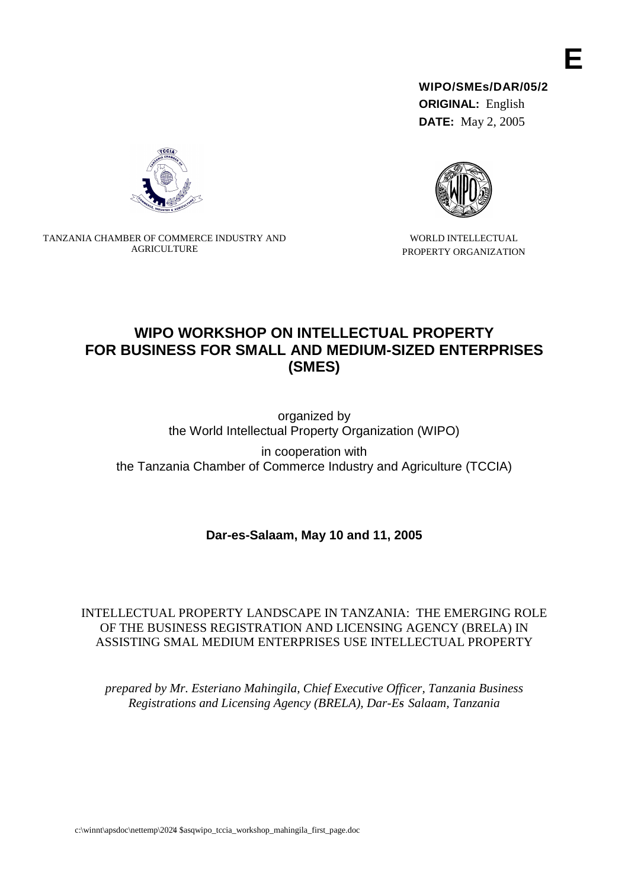**WIPO/SMEs/DAR/05/2 ORIGINAL:** English

**DATE:** May 2, 2005



WORLD INTELLECTUAL PROPERTY ORGANIZATION



TANZANIA CHAMBER OF COMMERCE INDUSTRY AND AGRICULTURE

# **WIPO WORKSHOP ON INTELLECTUAL PROPERTY FOR BUSINESS FOR SMALL AND MEDIUM-SIZED ENTERPRISES (SMES)**

organized by the World Intellectual Property Organization (WIPO)

in cooperation with the Tanzania Chamber of Commerce Industry and Agriculture (TCCIA)

**Dar-es-Salaam, May 10 and 11, 2005**

INTELLECTUAL PROPERTY LANDSCAPE IN TANZANIA: THE EMERGING ROLE OF THE BUSINESS REGISTRATION AND LICENSING AGENCY (BRELA) IN ASSISTING SMAL MEDIUM ENTERPRISES USE INTELLECTUAL PROPERTY

*prepared by Mr. Esteriano Mahingila, Chief Executive Officer, Tanzania Business Registrations and Licensing Agency (BRELA), Dar-Es- Salaam, Tanzania*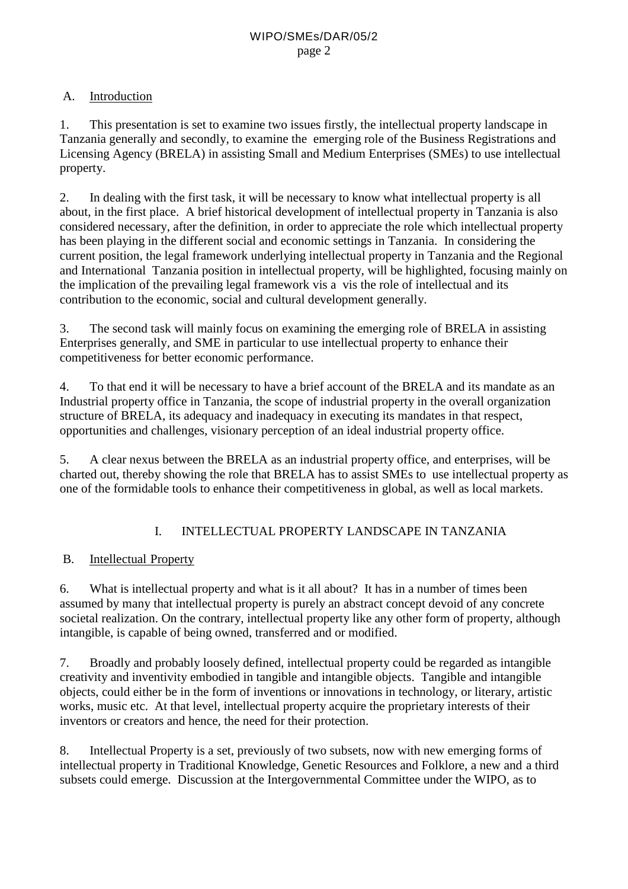## A. Introduction

1. This presentation is set to examine two issues firstly, the intellectual property landscape in Tanzania generally and secondly, to examine the emerging role of the Business Registrations and Licensing Agency (BRELA) in assisting Small and Medium Enterprises (SMEs) to use intellectual property.

2. In dealing with the first task, it will be necessary to know what intellectual property is all about, in the first place. A brief historical development of intellectual property in Tanzania is also considered necessary, after the definition, in order to appreciate the role which intellectual property has been playing in the different social and economic settings in Tanzania. In considering the current position, the legal framework underlying intellectual property in Tanzania and the Regional and International Tanzania position in intellectual property, will be highlighted, focusing mainly on the implication of the prevailing legal framework vis a vis the role of intellectual and its contribution to the economic, social and cultural development generally.

3. The second task will mainly focus on examining the emerging role of BRELA in assisting Enterprises generally, and SME in particular to use intellectual property to enhance their competitiveness for better economic performance.

4. To that end it will be necessary to have a brief account of the BRELA and its mandate as an Industrial property office in Tanzania, the scope of industrial property in the overall organization structure of BRELA, its adequacy and inadequacy in executing its mandates in that respect, opportunities and challenges, visionary perception of an ideal industrial property office.

5. A clear nexus between the BRELA as an industrial property office, and enterprises, will be charted out, thereby showing the role that BRELA has to assist SMEs to use intellectual property as one of the formidable tools to enhance their competitiveness in global, as well as local markets.

## I. INTELLECTUAL PROPERTY LANDSCAPE IN TANZANIA

## B. Intellectual Property

6. What is intellectual property and what is it all about? It has in a number of times been assumed by many that intellectual property is purely an abstract concept devoid of any concrete societal realization. On the contrary, intellectual property like any other form of property, although intangible, is capable of being owned, transferred and or modified.

7. Broadly and probably loosely defined, intellectual property could be regarded as intangible creativity and inventivity embodied in tangible and intangible objects. Tangible and intangible objects, could either be in the form of inventions or innovations in technology, or literary, artistic works, music etc. At that level, intellectual property acquire the proprietary interests of their inventors or creators and hence, the need for their protection.

8. Intellectual Property is a set, previously of two subsets, now with new emerging forms of intellectual property in Traditional Knowledge, Genetic Resources and Folklore, a new and a third subsets could emerge. Discussion at the Intergovernmental Committee under the WIPO, as to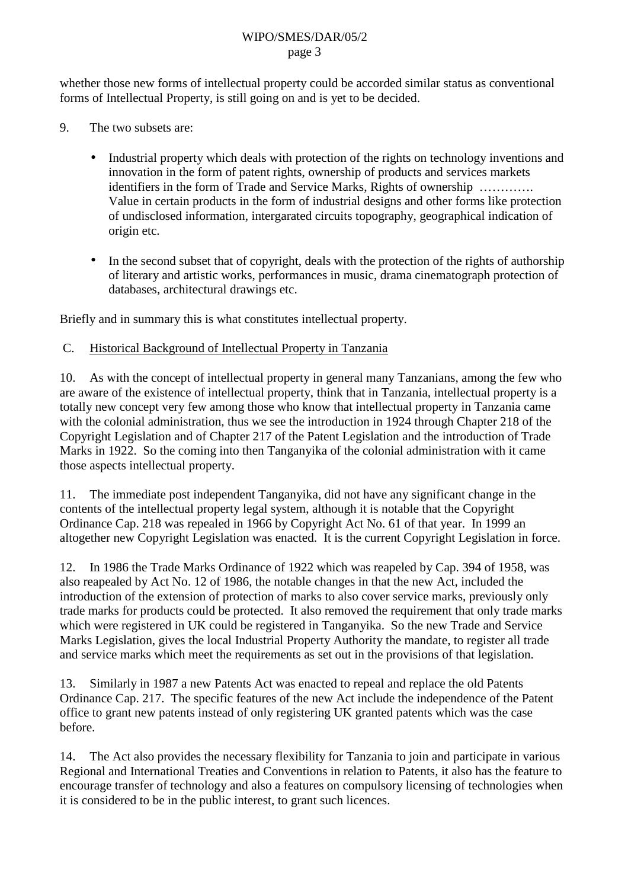#### WIPO/SMES/DAR/05/2 page 3

whether those new forms of intellectual property could be accorded similar status as conventional forms of Intellectual Property, is still going on and is yet to be decided.

- 9. The two subsets are:
	- Industrial property which deals with protection of the rights on technology inventions and innovation in the form of patent rights, ownership of products and services markets identifiers in the form of Trade and Service Marks, Rights of ownership …………. Value in certain products in the form of industrial designs and other forms like protection of undisclosed information, intergarated circuits topography, geographical indication of origin etc.
	- In the second subset that of copyright, deals with the protection of the rights of authorship of literary and artistic works, performances in music, drama cinematograph protection of databases, architectural drawings etc.

Briefly and in summary this is what constitutes intellectual property.

### C. Historical Background of Intellectual Property in Tanzania

10. As with the concept of intellectual property in general many Tanzanians, among the few who are aware of the existence of intellectual property, think that in Tanzania, intellectual property is a totally new concept very few among those who know that intellectual property in Tanzania came with the colonial administration, thus we see the introduction in 1924 through Chapter 218 of the Copyright Legislation and of Chapter 217 of the Patent Legislation and the introduction of Trade Marks in 1922. So the coming into then Tanganyika of the colonial administration with it came those aspects intellectual property.

11. The immediate post independent Tanganyika, did not have any significant change in the contents of the intellectual property legal system, although it is notable that the Copyright Ordinance Cap. 218 was repealed in 1966 by Copyright Act No. 61 of that year. In 1999 an altogether new Copyright Legislation was enacted. It is the current Copyright Legislation in force.

12. In 1986 the Trade Marks Ordinance of 1922 which was reapeled by Cap. 394 of 1958, was also reapealed by Act No. 12 of 1986, the notable changes in that the new Act, included the introduction of the extension of protection of marks to also cover service marks, previously only trade marks for products could be protected. It also removed the requirement that only trade marks which were registered in UK could be registered in Tanganyika. So the new Trade and Service Marks Legislation, gives the local Industrial Property Authority the mandate, to register all trade and service marks which meet the requirements as set out in the provisions of that legislation.

13. Similarly in 1987 a new Patents Act was enacted to repeal and replace the old Patents Ordinance Cap. 217. The specific features of the new Act include the independence of the Patent office to grant new patents instead of only registering UK granted patents which was the case before.

14. The Act also provides the necessary flexibility for Tanzania to join and participate in various Regional and International Treaties and Conventions in relation to Patents, it also has the feature to encourage transfer of technology and also a features on compulsory licensing of technologies when it is considered to be in the public interest, to grant such licences.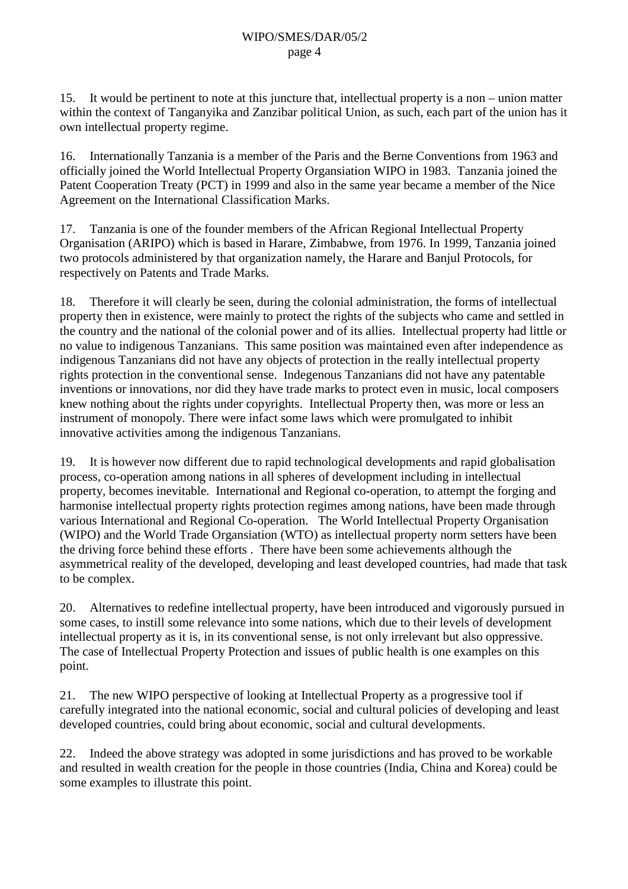15. It would be pertinent to note at this juncture that, intellectual property is a non – union matter within the context of Tanganyika and Zanzibar political Union, as such, each part of the union has it own intellectual property regime.

16. Internationally Tanzania is a member of the Paris and the Berne Conventions from 1963 and officially joined the World Intellectual Property Organsiation WIPO in 1983. Tanzania joined the Patent Cooperation Treaty (PCT) in 1999 and also in the same year became a member of the Nice Agreement on the International Classification Marks.

17. Tanzania is one of the founder members of the African Regional Intellectual Property Organisation (ARIPO) which is based in Harare, Zimbabwe, from 1976. In 1999, Tanzania joined two protocols administered by that organization namely, the Harare and Banjul Protocols, for respectively on Patents and Trade Marks.

18. Therefore it will clearly be seen, during the colonial administration, the forms of intellectual property then in existence, were mainly to protect the rights of the subjects who came and settled in the country and the national of the colonial power and of its allies. Intellectual property had little or no value to indigenous Tanzanians. This same position was maintained even after independence as indigenous Tanzanians did not have any objects of protection in the really intellectual property rights protection in the conventional sense. Indegenous Tanzanians did not have any patentable inventions or innovations, nor did they have trade marks to protect even in music, local composers knew nothing about the rights under copyrights. Intellectual Property then, was more or less an instrument of monopoly. There were infact some laws which were promulgated to inhibit innovative activities among the indigenous Tanzanians.

19. It is however now different due to rapid technological developments and rapid globalisation process, co-operation among nations in all spheres of development including in intellectual property, becomes inevitable. International and Regional co-operation, to attempt the forging and harmonise intellectual property rights protection regimes among nations, have been made through various International and Regional Co-operation. The World Intellectual Property Organisation (WIPO) and the World Trade Organsiation (WTO) as intellectual property norm setters have been the driving force behind these efforts . There have been some achievements although the asymmetrical reality of the developed, developing and least developed countries, had made that task to be complex.

20. Alternatives to redefine intellectual property, have been introduced and vigorously pursued in some cases, to instill some relevance into some nations, which due to their levels of development intellectual property as it is, in its conventional sense, is not only irrelevant but also oppressive. The case of Intellectual Property Protection and issues of public health is one examples on this point.

21. The new WIPO perspective of looking at Intellectual Property as a progressive tool if carefully integrated into the national economic, social and cultural policies of developing and least developed countries, could bring about economic, social and cultural developments.

22. Indeed the above strategy was adopted in some jurisdictions and has proved to be workable and resulted in wealth creation for the people in those countries (India, China and Korea) could be some examples to illustrate this point.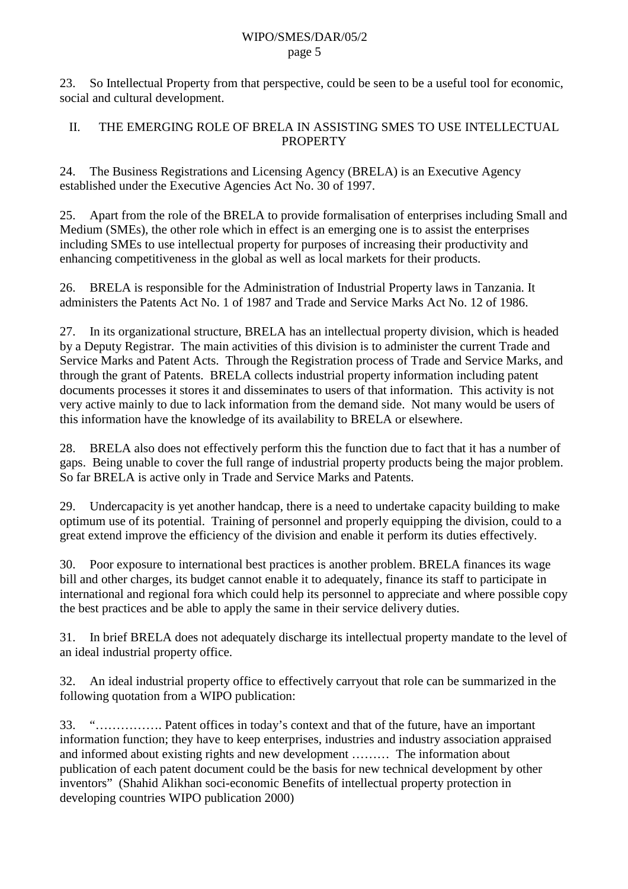#### WIPO/SMES/DAR/05/2 page 5

23. So Intellectual Property from that perspective, could be seen to be a useful tool for economic, social and cultural development.

## II. THE EMERGING ROLE OF BRELA IN ASSISTING SMES TO USE INTELLECTUAL **PROPERTY**

24. The Business Registrations and Licensing Agency (BRELA) is an Executive Agency established under the Executive Agencies Act No. 30 of 1997.

25. Apart from the role of the BRELA to provide formalisation of enterprises including Small and Medium (SMEs), the other role which in effect is an emerging one is to assist the enterprises including SMEs to use intellectual property for purposes of increasing their productivity and enhancing competitiveness in the global as well as local markets for their products.

26. BRELA is responsible for the Administration of Industrial Property laws in Tanzania. It administers the Patents Act No. 1 of 1987 and Trade and Service Marks Act No. 12 of 1986.

27. In its organizational structure, BRELA has an intellectual property division, which is headed by a Deputy Registrar. The main activities of this division is to administer the current Trade and Service Marks and Patent Acts. Through the Registration process of Trade and Service Marks, and through the grant of Patents. BRELA collects industrial property information including patent documents processes it stores it and disseminates to users of that information. This activity is not very active mainly to due to lack information from the demand side. Not many would be users of this information have the knowledge of its availability to BRELA or elsewhere.

28. BRELA also does not effectively perform this the function due to fact that it has a number of gaps. Being unable to cover the full range of industrial property products being the major problem. So far BRELA is active only in Trade and Service Marks and Patents.

29. Undercapacity is yet another handcap, there is a need to undertake capacity building to make optimum use of its potential. Training of personnel and properly equipping the division, could to a great extend improve the efficiency of the division and enable it perform its duties effectively.

30. Poor exposure to international best practices is another problem. BRELA finances its wage bill and other charges, its budget cannot enable it to adequately, finance its staff to participate in international and regional fora which could help its personnel to appreciate and where possible copy the best practices and be able to apply the same in their service delivery duties.

31. In brief BRELA does not adequately discharge its intellectual property mandate to the level of an ideal industrial property office.

32. An ideal industrial property office to effectively carryout that role can be summarized in the following quotation from a WIPO publication:

33. "……………. Patent offices in today's context and that of the future, have an important information function; they have to keep enterprises, industries and industry association appraised and informed about existing rights and new development ……… The information about publication of each patent document could be the basis for new technical development by other inventors" (Shahid Alikhan soci-economic Benefits of intellectual property protection in developing countries WIPO publication 2000)